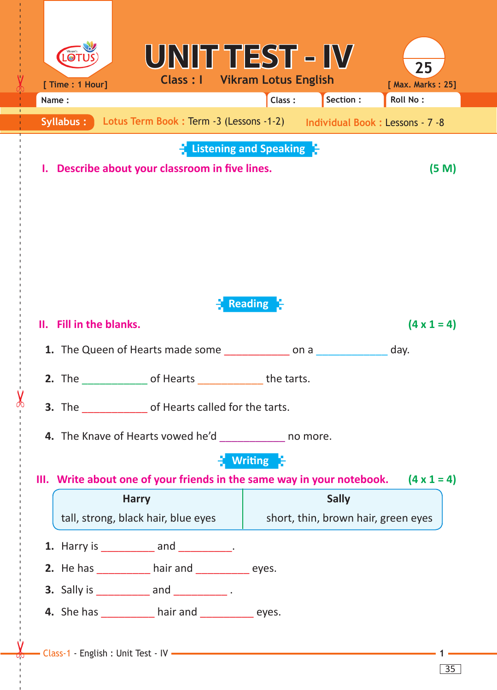| [ Time : 1 Hour]                                                                               | UNITTEST – IV<br><b>Class : I Vikram Lotus English</b>                                                                                                         |                                     |              | 25<br>[ Max. Marks: 25] |  |
|------------------------------------------------------------------------------------------------|----------------------------------------------------------------------------------------------------------------------------------------------------------------|-------------------------------------|--------------|-------------------------|--|
| Name:                                                                                          |                                                                                                                                                                | Class:                              | Section :    | <b>Roll No:</b>         |  |
| Syllabus:                                                                                      | Lotus Term Book: Term -3 (Lessons -1-2) Individual Book: Lessons - 7 -8                                                                                        |                                     |              |                         |  |
| <b>Listening and Speaking F</b><br>Describe about your classroom in five lines.<br>(5 M)<br>ı. |                                                                                                                                                                |                                     |              |                         |  |
| II. Fill in the blanks.                                                                        |                                                                                                                                                                | <b>Reading a</b>                    |              | $(4 \times 1 = 4)$      |  |
| <b>1.</b> The Queen of Hearts made some ______________ on a ______________ day.                |                                                                                                                                                                |                                     |              |                         |  |
|                                                                                                | <b>2.</b> The of Hearts the tarts.<br><b>3.</b> The of Hearts called for the tarts.                                                                            |                                     |              |                         |  |
|                                                                                                | <b>4.</b> The Knave of Hearts vowed he'd nomore.<br>III. Write about one of your friends in the same way in your notebook. $(4 \times 1 = 4)$                  | <b>Writing</b>                      |              |                         |  |
|                                                                                                | <b>Harry</b>                                                                                                                                                   |                                     | <b>Sally</b> |                         |  |
| tall, strong, black hair, blue eyes                                                            |                                                                                                                                                                | short, thin, brown hair, green eyes |              |                         |  |
|                                                                                                | <b>1.</b> Harry is ___________ and __________.<br><b>2.</b> He has ___________ hair and ____________ eyes.<br><b>3.</b> Sally is ____________ and ___________. |                                     |              |                         |  |
|                                                                                                | 4. She has _____________ hair and _____________ eyes.                                                                                                          |                                     |              |                         |  |

------ - - --------------------------------------- --- -------------------------------------------------- -------------

35